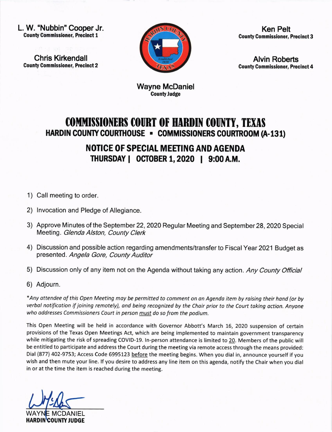L. W. "Nubbin" Cooper Jr. **County Commissioner, Precinct 1** 

Chris Kirkendall County Commissioner, Precinct 2



Ken Pelt County Commissioner, Precinct 3

Alvin Roberts County Commissioner, Preclnct 4

Wayne McDaniel CountyJudge

## COMMISSIONERS COURT OF HARDIN COUNTY, TEXAS HARDIN COUNTY COURTHOUSE - COMMISSIONERS COURTROOM (A-131)

## NOTICE OF SPECIAL MEETING AND AGENDA THURSDAY | OCI0BER 1,2020 | 9:00A.M.

- 1) Call meeting to order.
- 2) lnvocation and Pledge of Allegiance.
- 3) Approve Minutes of the September 22, 2020 Regular Meeting and September 28, 2020 Special Meeting. Glenda Alston, County Clerk
- 4) Discussion and possible action regarding amendments/transfer to Fiscal Year 2021 Budget as presented. Angela Gore, County Auditor
- 5) Discussion only of any item not on the Agenda without taking any action. Any County Official
- 6) Adjourn.

+Any ottendee of this Open Meeting moy be permitted to comment on on Agendo item by roising their hond (or by verbal notification if joining remotely), and being recognized by the Chair prior to the Court taking action. Anyone who addresses Commissioners Court in person must do so from the podium.

This Open Meeting will be held in accordance with Governor Abbott's March 16, 2020 suspension of certain provisions of the Texas Open Meetings Act, which are being implemented to maintain government transparency while mitigating the risk of spreading COVID-19. In-person attendance is limited to 20. Members of the public will be entitled to participate and address the Court during the meeting via remote access through the means provided: Dial (877) 402-9753; Access Code 6995123 before the meeting begins. When you dial in, announce yourself if you wish and then mute your line. lf you desire to address any line item on this agenda, notify the Chair when you dial in or at the time the item is reached during the meeting.

(

WAYN<mark>E MCDANIEL</mark> **COUNTY JUDGE**